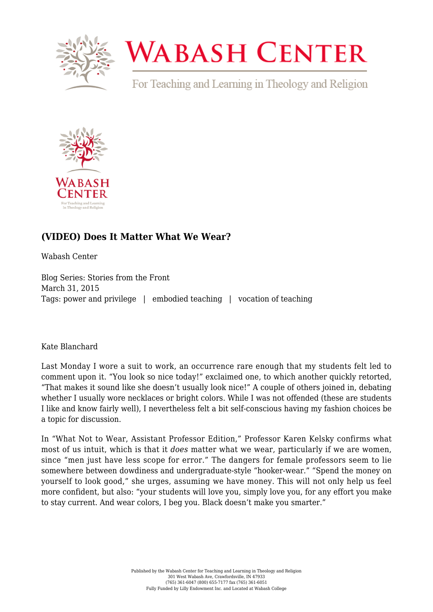

## **WABASH CENTER**

For Teaching and Learning in Theology and Religion



## **[\(VIDEO\) Does It Matter What We Wear?](https://www.wabashcenter.wabash.edu/2015/03/video-does-it-matter-what-we-wear/)**

Wabash Center

Blog Series: Stories from the Front March 31, 2015 Tags: power and privilege | embodied teaching | vocation of teaching

Kate Blanchard

Last Monday I wore a suit to work, an occurrence rare enough that my students felt led to comment upon it. "You look so nice today!" exclaimed one, to which another quickly retorted, "That makes it sound like she doesn't usually look nice!" A couple of others joined in, debating whether I usually wore necklaces or bright colors. While I was not offended (these are students I like and know fairly well), I nevertheless felt a bit self-conscious having my fashion choices be a topic for discussion.

In "What Not to Wear, Assistant Professor Edition," Professor Karen Kelsky [confirms](http://theprofessorisin.com/2011/07/28/what-not-to-wear-assistant-professor-edition/) what most of us intuit, which is that it *does* matter what we wear, particularly if we are women, since "men just have less scope for error." The dangers for female professors seem to lie somewhere between dowdiness and undergraduate-style "hooker-wear." "Spend the money on yourself to look good," she urges, assuming we have money. This will not only help us feel more confident, but also: "your students will love you, simply love you, for any effort you make to stay current. And wear colors, I beg you. Black doesn't make you smarter."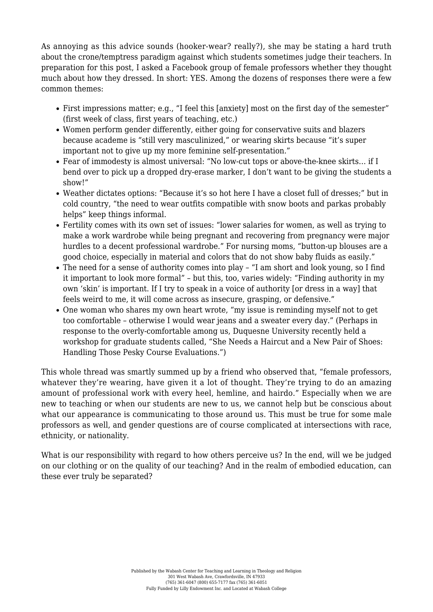As annoying as this advice sounds (hooker-wear? really?), she may be stating a hard truth about the crone/temptress paradigm against which students sometimes judge their teachers. In preparation for this post, I asked a Facebook group of female professors whether they thought much about how they dressed. In short: YES. Among the dozens of responses there were a few common themes:

- First impressions matter; e.g., "I feel this [anxiety] most on the first day of the semester" (first week of class, first years of teaching, etc.)
- Women perform gender differently, either going for conservative suits and blazers because academe is "still very masculinized," or wearing skirts because "it's super important not to give up my more feminine self-presentation."
- Fear of immodesty is almost universal: "No low-cut tops or above-the-knee skirts… if I bend over to pick up a dropped dry-erase marker, I don't want to be giving the students a show!"
- Weather dictates options: "Because it's so hot here I have a closet full of dresses;" but in cold country, "the need to wear outfits compatible with snow boots and parkas probably helps" keep things informal.
- Fertility comes with its own set of issues: "lower salaries for women, as well as trying to make a work wardrobe while being pregnant and recovering from pregnancy were major hurdles to a decent professional wardrobe." For nursing moms, "button-up blouses are a good choice, especially in material and colors that do not show baby fluids as easily."
- The need for a sense of authority comes into play "I am short and look young, so I find it important to look more formal" – but this, too, varies widely: "Finding authority in my own 'skin' is important. If I try to speak in a voice of authority [or dress in a way] that feels weird to me, it will come across as insecure, grasping, or defensive."
- One woman who shares my own heart wrote, "my issue is reminding myself not to get too comfortable – otherwise I would wear jeans and a sweater every day." (Perhaps in response to the overly-comfortable among us, Duquesne University recently held a [workshop](https://www.duq.edu/about/centers-and-institutes/center-for-teaching-excellence/events) for graduate students called, "She Needs a Haircut and a New Pair of Shoes: Handling Those Pesky Course Evaluations.")

This whole thread was smartly summed up by a friend who observed that, "female professors, whatever they're wearing, have given it a lot of thought. They're trying to do an amazing amount of professional work with every heel, hemline, and hairdo." Especially when we are new to teaching or when our students are new to us, we cannot help but be conscious about what our appearance is communicating to those around us. This must be true for some male professors as well, and gender questions are of course complicated at intersections with race, ethnicity, or nationality.

What is our responsibility with regard to how others perceive us? In the end, will we be judged on our clothing or on the quality of our teaching? And in the realm of embodied education, can these ever truly be separated?